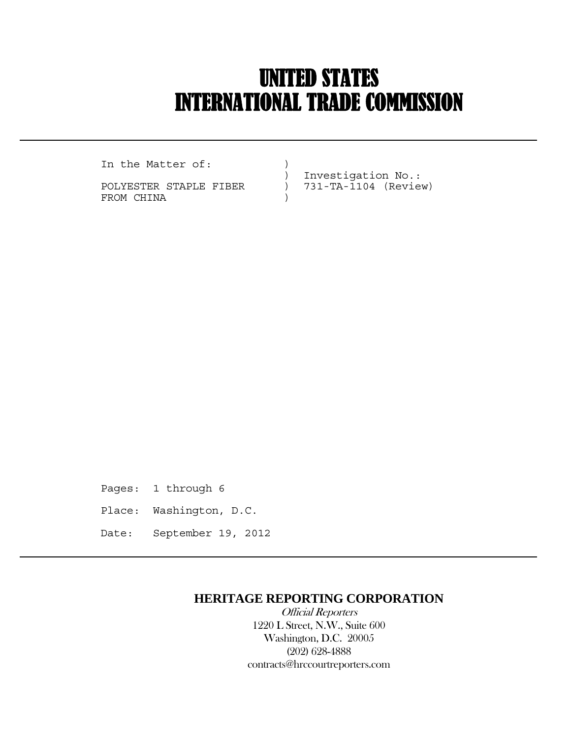# UNITED STATES INTERNATIONAL TRADE COMMISSION

In the Matter of:  $)$ 

 $\overline{a}$ 

POLYESTER STAPLE FIBER ) 731-TA-1104 (Review) FROM CHINA  $)$ 

) Investigation No.:

Pages: 1 through 6 Place: Washington, D.C. Date: September 19, 2012

## **HERITAGE REPORTING CORPORATION**

 Official Reporters 1220 L Street, N.W., Suite 600 Washington, D.C. 20005 (202) 628-4888 contracts@hrccourtreporters.com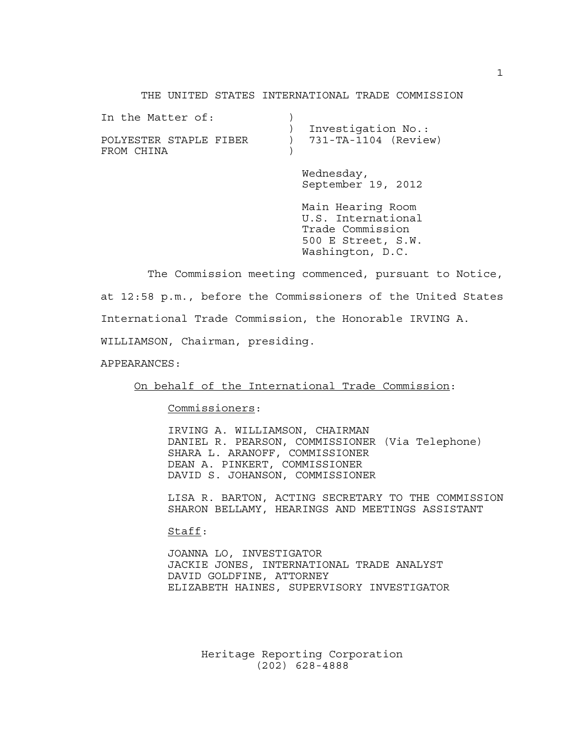#### THE UNITED STATES INTERNATIONAL TRADE COMMISSION

| In the Matter of:      |                          |
|------------------------|--------------------------|
|                        | Investigation No.:       |
| POLYESTER STAPLE FIBER | $) 731-TA-1104$ (Review) |
| FROM CHINA             |                          |
|                        |                          |
|                        |                          |

 Wednesday, September 19, 2012

 Main Hearing Room U.S. International Trade Commission 500 E Street, S.W. Washington, D.C.

 The Commission meeting commenced, pursuant to Notice, at 12:58 p.m., before the Commissioners of the United States International Trade Commission, the Honorable IRVING A.

WILLIAMSON, Chairman, presiding.

APPEARANCES:

On behalf of the International Trade Commission:

Commissioners:

 IRVING A. WILLIAMSON, CHAIRMAN DANIEL R. PEARSON, COMMISSIONER (Via Telephone) SHARA L. ARANOFF, COMMISSIONER DEAN A. PINKERT, COMMISSIONER DAVID S. JOHANSON, COMMISSIONER

 LISA R. BARTON, ACTING SECRETARY TO THE COMMISSION SHARON BELLAMY, HEARINGS AND MEETINGS ASSISTANT

Staff:

 JOANNA LO, INVESTIGATOR JACKIE JONES, INTERNATIONAL TRADE ANALYST DAVID GOLDFINE, ATTORNEY ELIZABETH HAINES, SUPERVISORY INVESTIGATOR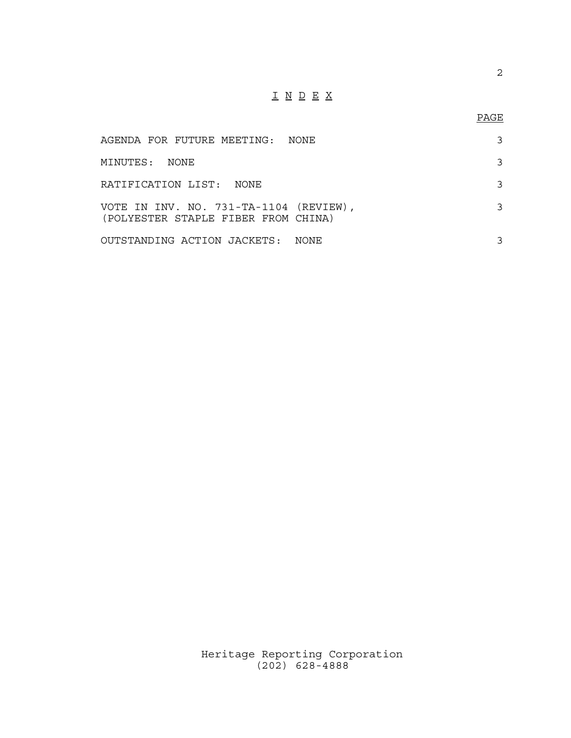## I N D E X

| AGENDA FOR FUTURE MEETING:  NONE                                              |      |  |
|-------------------------------------------------------------------------------|------|--|
| MINUTES: NONE                                                                 |      |  |
| RATIFICATION LIST: NONE                                                       |      |  |
| VOTE IN INV. NO. 731-TA-1104 (REVIEW),<br>(POLYESTER STAPLE FIBER FROM CHINA) |      |  |
| OUTSTANDING ACTION JACKETS:                                                   | NONE |  |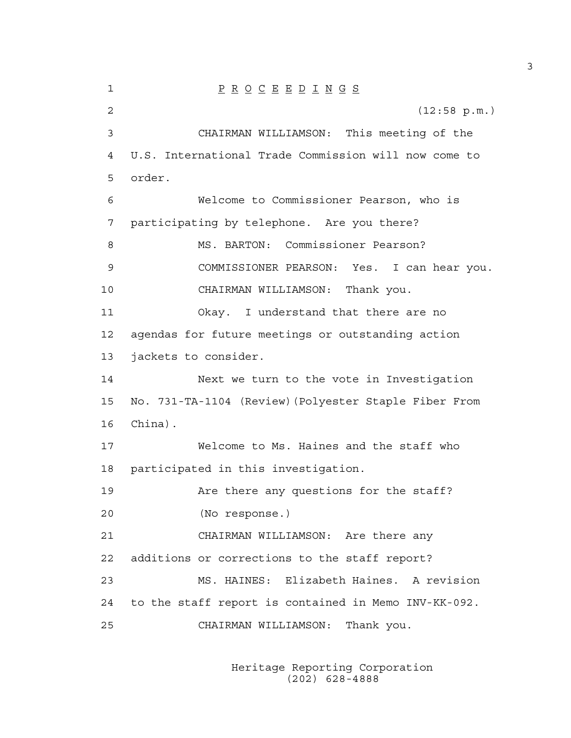1 P R O C E E D I N G S 2 (12:58 p.m.) 3 CHAIRMAN WILLIAMSON: This meeting of the 4 U.S. International Trade Commission will now come to 5 order. 6 Welcome to Commissioner Pearson, who is 7 participating by telephone. Are you there? 8 MS. BARTON: Commissioner Pearson? 9 COMMISSIONER PEARSON: Yes. I can hear you. 10 CHAIRMAN WILLIAMSON: Thank you. 11 Okay. I understand that there are no 12 agendas for future meetings or outstanding action 13 jackets to consider. 14 Next we turn to the vote in Investigation 15 No. 731-TA-1104 (Review)(Polyester Staple Fiber From 16 China). 17 Welcome to Ms. Haines and the staff who 18 participated in this investigation. 19 Are there any questions for the staff? 20 (No response.) 21 CHAIRMAN WILLIAMSON: Are there any 22 additions or corrections to the staff report? 23 MS. HAINES: Elizabeth Haines. A revision 24 to the staff report is contained in Memo INV-KK-092. 25 CHAIRMAN WILLIAMSON: Thank you.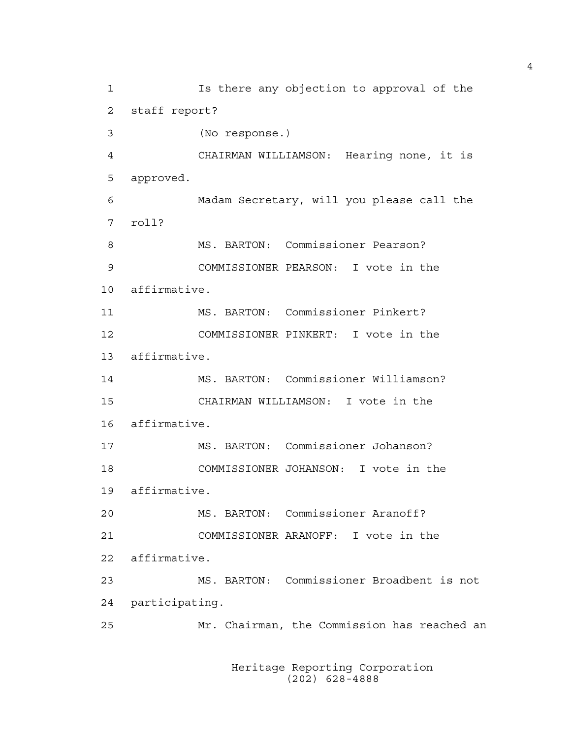1 Is there any objection to approval of the 2 staff report? 3 (No response.) 4 CHAIRMAN WILLIAMSON: Hearing none, it is 5 approved. 6 Madam Secretary, will you please call the 7 roll? 8 MS. BARTON: Commissioner Pearson? 9 COMMISSIONER PEARSON: I vote in the 10 affirmative. 11 MS. BARTON: Commissioner Pinkert? 12 COMMISSIONER PINKERT: I vote in the 13 affirmative. 14 MS. BARTON: Commissioner Williamson? 15 CHAIRMAN WILLIAMSON: I vote in the 16 affirmative. 17 MS. BARTON: Commissioner Johanson? 18 COMMISSIONER JOHANSON: I vote in the 19 affirmative. 20 MS. BARTON: Commissioner Aranoff? 21 COMMISSIONER ARANOFF: I vote in the 22 affirmative. 23 MS. BARTON: Commissioner Broadbent is not 24 participating. 25 Mr. Chairman, the Commission has reached an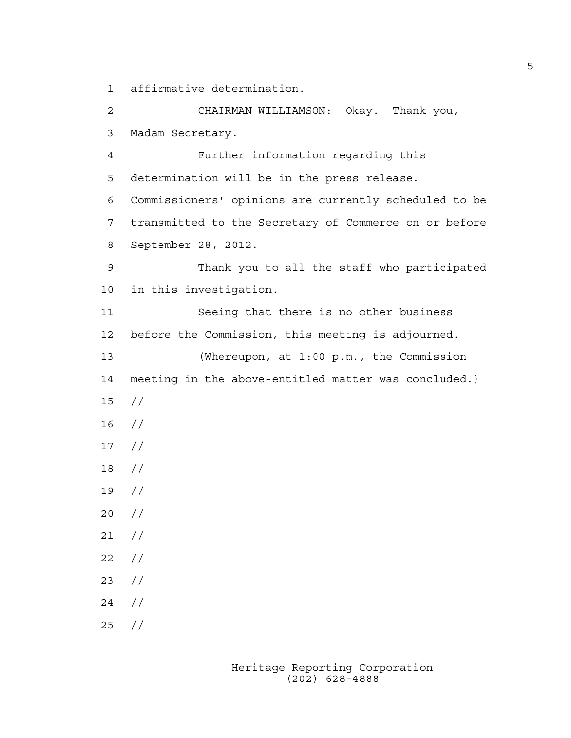1 affirmative determination.

2 CHAIRMAN WILLIAMSON: Okay. Thank you, 3 Madam Secretary. 4 Further information regarding this 5 determination will be in the press release. 6 Commissioners' opinions are currently scheduled to be 7 transmitted to the Secretary of Commerce on or before 8 September 28, 2012. 9 Thank you to all the staff who participated 10 in this investigation. 11 Seeing that there is no other business 12 before the Commission, this meeting is adjourned. 13 (Whereupon, at 1:00 p.m., the Commission 14 meeting in the above-entitled matter was concluded.) 15 // 16 // 17 // 18 // 19 // 20 // 21 //  $22 / /$ 23 // 24 // 25 //